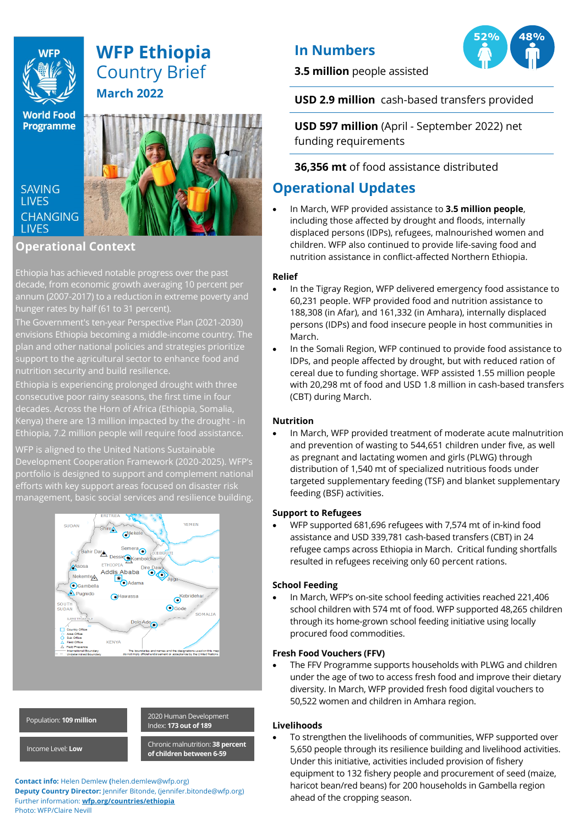

# **WFP Ethiopia** Country Brief **March 2022**

**World Food Programme** 

**SAVING I IVES CHANGING LIVES** 



## **Operational Context**

\ Ethiopia has achieved notable progress over the past decade, from economic growth averaging 10 percent per annum (2007-2017) to a reduction in extreme poverty and hunger rates by half (61 to 31 percent).

The Government's ten-year Perspective Plan (2021-2030) envisions Ethiopia becoming a middle-income country. The plan and other national policies and strategies prioritize support to the agricultural sector to enhance food and nutrition security and build resilience.

Ethiopia is experiencing prolonged drought with three consecutive poor rainy seasons, the first time in four decades. Across the Horn of Africa (Ethiopia, Somalia, Kenya) there are 13 million impacted by the drought - in Ethiopia, 7.2 million people will require food assistance.

WFP is aligned to the United Nations Sustainable Development Cooperation Framework (2020-2025). WFP's portfolio is designed to support and complement national efforts with key support areas focused on disaster risk management, basic social services and resilience building.





**Contact info:** Helen Demlew **(**helen.demlew@wfp.org) **Deputy Country Director:** Jennifer Bitonde, (jennifer.bitonde@wfp.org) Further information: **wfp.org/countries/ethiopia** Photo: WFP/Claire Nevill

## **In Numbers**

**3.5 million** people assisted



**USD 2.9 million** cash-based transfers provided

**USD 597 million** (April - September 2022) net funding requirements

## **36,356 mt** of food assistance distributed

## **Operational Updates**

• In March, WFP provided assistance to **3.5 million people**, including those affected by drought and floods, internally displaced persons (IDPs), refugees, malnourished women and children. WFP also continued to provide life-saving food and nutrition assistance in conflict-affected Northern Ethiopia.

## **Relief**

- In the Tigray Region, WFP delivered emergency food assistance to 60,231 people. WFP provided food and nutrition assistance to 188,308 (in Afar), and 161,332 (in Amhara), internally displaced persons (IDPs) and food insecure people in host communities in March.
- In the Somali Region, WFP continued to provide food assistance to IDPs, and people affected by drought, but with reduced ration of cereal due to funding shortage. WFP assisted 1.55 million people with 20,298 mt of food and USD 1.8 million in cash-based transfers (CBT) during March.

## **Nutrition**

• In March, WFP provided treatment of moderate acute malnutrition and prevention of wasting to 544,651 children under five, as well as pregnant and lactating women and girls (PLWG) through distribution of 1,540 mt of specialized nutritious foods under targeted supplementary feeding (TSF) and blanket supplementary feeding (BSF) activities.

## **Support to Refugees**

• WFP supported 681,696 refugees with 7,574 mt of in-kind food assistance and USD 339,781 cash-based transfers (CBT) in 24 refugee camps across Ethiopia in March. Critical funding shortfalls resulted in refugees receiving only 60 percent rations.

## **School Feeding**

• In March, WFP's on-site school feeding activities reached 221,406 school children with 574 mt of food. WFP supported 48,265 children through its home-grown school feeding initiative using locally procured food commodities.

## **Fresh Food Vouchers (FFV)**

• The FFV Programme supports households with PLWG and children under the age of two to access fresh food and improve their dietary diversity. In March, WFP provided fresh food digital vouchers to 50,522 women and children in Amhara region.

## **Livelihoods**

• To strengthen the livelihoods of communities, WFP supported over 5,650 people through its resilience building and livelihood activities. Under this initiative, activities included provision of fishery equipment to 132 fishery people and procurement of seed (maize, haricot bean/red beans) for 200 households in Gambella region ahead of the cropping season.